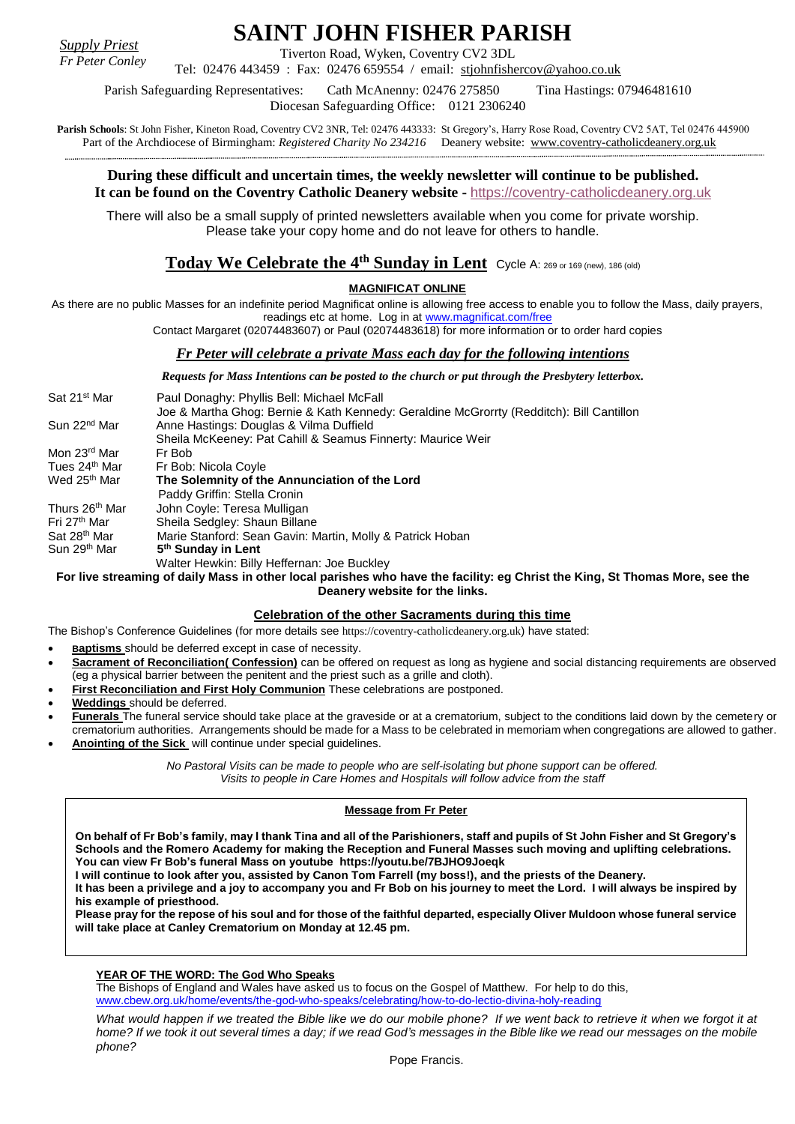*Supply Priest Fr Peter Conley* **SAINT JOHN FISHER PARISH**

Tiverton Road, Wyken, Coventry CV2 3DL

Tel: 02476 443459 : Fax: 02476 659554 / email: [stjohnfishercov@yahoo.co.uk](mailto:stjohnfishercov@yahoo.co.uk) 

Parish Safeguarding Representatives: Cath McAnenny: 02476 275850 Tina Hastings: 07946481610 Diocesan Safeguarding Office: 0121 2306240

**Parish Schools**: St John Fisher, Kineton Road, Coventry CV2 3NR, Tel: 02476 443333: St Gregory's, Harry Rose Road, Coventry CV2 5AT, Tel 02476 445900 Part of the Archdiocese of Birmingham: *Registered Charity No 234216* Deanery website: [www.coventry-catholicdeanery.org.uk](http://www.coventry-catholicdeanery.org.uk/)

## **During these difficult and uncertain times, the weekly newsletter will continue to be published. It can be found on the Coventry Catholic Deanery website -** [https://coventry-catholicdeanery.org.uk](https://coventry-catholicdeanery.org.uk/)

There will also be a small supply of printed newsletters available when you come for private worship. Please take your copy home and do not leave for others to handle.

# $\bf{Today~We~Celebrate~the~4^{th}~Sunday~in~Lent}$  Cycle A: 269 or 169 (new), 186 (old)

## **MAGNIFICAT ONLINE**

As there are no public Masses for an indefinite period Magnificat online is allowing free access to enable you to follow the Mass, daily prayers, readings etc at home. Log in a[t www.magnificat.com/free](http://www.magnificat.com/free)

Contact Margaret (02074483607) or Paul (02074483618) for more information or to order hard copies

## *Fr Peter will celebrate a private Mass each day for the following intentions*

*Requests for Mass Intentions can be posted to the church or put through the Presbytery letterbox.*

| Sat 21 <sup>st</sup> Mar   | Paul Donaghy: Phyllis Bell: Michael McFall                                               |
|----------------------------|------------------------------------------------------------------------------------------|
|                            | Joe & Martha Ghog: Bernie & Kath Kennedy: Geraldine McGrorrty (Redditch): Bill Cantillon |
| Sun 22 <sup>nd</sup> Mar   | Anne Hastings: Douglas & Vilma Duffield                                                  |
|                            | Sheila McKeeney: Pat Cahill & Seamus Finnerty: Maurice Weir                              |
| Mon 23 <sup>rd</sup> Mar   | Fr Bob                                                                                   |
| Tues 24 <sup>th</sup> Mar  | Fr Bob: Nicola Coyle                                                                     |
| Wed 25 <sup>th</sup> Mar   | The Solemnity of the Annunciation of the Lord                                            |
|                            | Paddy Griffin: Stella Cronin                                                             |
| Thurs 26 <sup>th</sup> Mar | John Coyle: Teresa Mulligan                                                              |
| Fri 27th Mar               | Sheila Sedgley: Shaun Billane                                                            |
| Sat 28 <sup>th</sup> Mar   | Marie Stanford: Sean Gavin: Martin, Molly & Patrick Hoban                                |
| Sun 29 <sup>th</sup> Mar   | 5 <sup>th</sup> Sunday in Lent                                                           |
|                            | Walter Hewkin: Billy Heffernan: Joe Buckley                                              |
|                            |                                                                                          |

**For live streaming of daily Mass in other local parishes who have the facility: eg Christ the King, St Thomas More, see the Deanery website for the links.**

## **Celebration of the other Sacraments during this time**

The Bishop's Conference Guidelines (for more details see [https://coventry-catholicdeanery.org.uk](https://coventry-catholicdeanery.org.uk/)) have stated:

- **Baptisms** should be deferred except in case of necessity.
- **Sacrament of Reconciliation( Confession)** can be offered on request as long as hygiene and social distancing requirements are observed (eg a physical barrier between the penitent and the priest such as a grille and cloth).
- **First Reconciliation and First Holy Communion** These celebrations are postponed.
- **Weddings** should be deferred.
- **Funerals** The funeral service should take place at the graveside or at a crematorium, subject to the conditions laid down by the cemetery or
- crematorium authorities. Arrangements should be made for a Mass to be celebrated in memoriam when congregations are allowed to gather. **Anointing of the Sick** will continue under special guidelines.

*No Pastoral Visits can be made to people who are self-isolating but phone support can be offered. Visits to people in Care Homes and Hospitals will follow advice from the staff*

#### **Message from Fr Peter**

**On behalf of Fr Bob's family, may I thank Tina and all of the Parishioners, staff and pupils of St John Fisher and St Gregory's Schools and the Romero Academy for making the Reception and Funeral Masses such moving and uplifting celebrations. You can view Fr Bob's funeral Mass on youtube <https://youtu.be/7BJHO9Joeqk>**

**I will continue to look after you, assisted by Canon Tom Farrell (my boss!), and the priests of the Deanery.**

**It has been a privilege and a joy to accompany you and Fr Bob on his journey to meet the Lord. I will always be inspired by his example of priesthood.**

**Please pray for the repose of his soul and for those of the faithful departed, especially Oliver Muldoon whose funeral service will take place at Canley Crematorium on Monday at 12.45 pm.**

#### **YEAR OF THE WORD: The God Who Speaks**

The Bishops of England and Wales have asked us to focus on the Gospel of Matthew. For help to do this, [www.cbew.org.uk/home/events/the-god-who-speaks/celebrating/how-to-do-lectio-divina-holy-reading](http://www.cbew.org.uk/home/events/the-god-who-speaks/celebrating/how-to-do-lectio-divina-holy-reading)

*What would happen if we treated the Bible like we do our mobile phone? If we went back to retrieve it when we forgot it at home? If we took it out several times a day; if we read God's messages in the Bible like we read our messages on the mobile phone?*